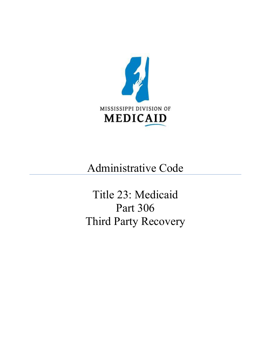

# Administrative Code

Title 23: Medicaid Part 306 Third Party Recovery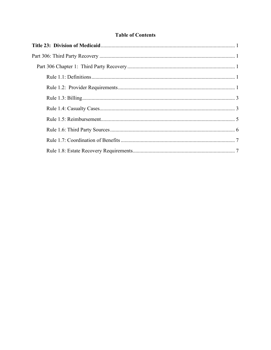# **Table of Contents**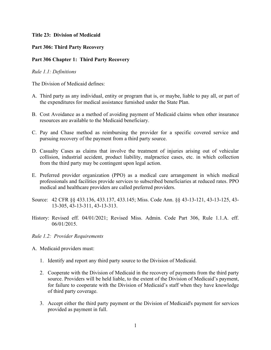#### <span id="page-2-0"></span>**Title 23: Division of Medicaid**

### <span id="page-2-1"></span>**Part 306: Third Party Recovery**

## <span id="page-2-2"></span>**Part 306 Chapter 1: Third Party Recovery**

#### <span id="page-2-3"></span>*Rule 1.1: Definitions*

The Division of Medicaid defines:

- A. Third party as any individual, entity or program that is, or maybe, liable to pay all, or part of the expenditures for medical assistance furnished under the State Plan.
- B. Cost Avoidance as a method of avoiding payment of Medicaid claims when other insurance resources are available to the Medicaid beneficiary.
- C. Pay and Chase method as reimbursing the provider for a specific covered service and pursuing recovery of the payment from a third party source.
- D. Casualty Cases as claims that involve the treatment of injuries arising out of vehicular collision, industrial accident, product liability, malpractice cases, etc. in which collection from the third party may be contingent upon legal action.
- E. Preferred provider organization (PPO) as a medical care arrangement in which medical professionals and facilities provide services to subscribed beneficiaries at reduced rates. PPO medical and healthcare providers are called preferred providers.
- Source: 42 CFR §§ 433.136, 433.137, 433.145; Miss. Code Ann. §§ 43-13-121, 43-13-125, 43- 13-305, 43-13-311, 43-13-313.
- History: Revised eff. 04/01/2021; Revised Miss. Admin. Code Part 306, Rule 1.1.A. eff. 06/01/2015.

#### <span id="page-2-4"></span>*Rule 1.2: Provider Requirements*

- A. Medicaid providers must:
	- 1. Identify and report any third party source to the Division of Medicaid.
	- 2. Cooperate with the Division of Medicaid in the recovery of payments from the third party source. Providers will be held liable, to the extent of the Division of Medicaid's payment, for failure to cooperate with the Division of Medicaid's staff when they have knowledge of third party coverage.
	- 3. Accept either the third party payment or the Division of Medicaid's payment for services provided as payment in full.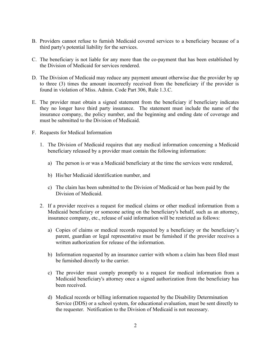- B. Providers cannot refuse to furnish Medicaid covered services to a beneficiary because of a third party's potential liability for the services.
- C. The beneficiary is not liable for any more than the co-payment that has been established by the Division of Medicaid for services rendered.
- D. The Division of Medicaid may reduce any payment amount otherwise due the provider by up to three (3) times the amount incorrectly received from the beneficiary if the provider is found in violation of Miss. Admin. Code Part 306, Rule 1.3.C.
- E. The provider must obtain a signed statement from the beneficiary if beneficiary indicates they no longer have third party insurance. The statement must include the name of the insurance company, the policy number, and the beginning and ending date of coverage and must be submitted to the Division of Medicaid.
- F. Requests for Medical Information
	- 1. The Division of Medicaid requires that any medical information concerning a Medicaid beneficiary released by a provider must contain the following information:
		- a) The person is or was a Medicaid beneficiary at the time the services were rendered,
		- b) His/her Medicaid identification number, and
		- c) The claim has been submitted to the Division of Medicaid or has been paid by the Division of Medicaid.
	- 2. If a provider receives a request for medical claims or other medical information from a Medicaid beneficiary or someone acting on the beneficiary's behalf, such as an attorney, insurance company, etc., release of said information will be restricted as follows:
		- a) Copies of claims or medical records requested by a beneficiary or the beneficiary's parent, guardian or legal representative must be furnished if the provider receives a written authorization for release of the information.
		- b) Information requested by an insurance carrier with whom a claim has been filed must be furnished directly to the carrier.
		- c) The provider must comply promptly to a request for medical information from a Medicaid beneficiary's attorney once a signed authorization from the beneficiary has been received.
		- d) Medical records or billing information requested by the Disability Determination Service (DDS) or a school system, for educational evaluation, must be sent directly to the requester. Notification to the Division of Medicaid is not necessary.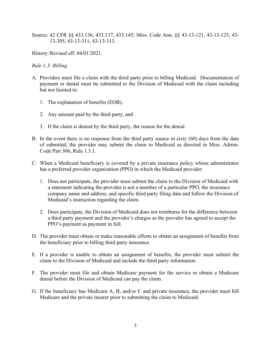Source: 42 CFR §§ 433.136, 433.137, 433.145; Miss. Code Ann. §§ 43-13-121, 43-13-125, 43- 13-305, 43-13-311, 43-13-313.

History:Revised eff. 04/01/2021.

#### <span id="page-4-0"></span>*Rule 1.3: Billing*

- <span id="page-4-1"></span>A. Providers must file a claim with the third party prior to billing Medicaid. Documentation of payment or denial must be submitted to the Division of Medicaid with the claim including but not limited to:
	- 1. The explanation of benefits (EOB),
	- 2. Any amount paid by the third party, and
	- 3. If the claim is denied by the third party, the reason for the denial.
- B. In the event there is no response from the third party source in sixty (60) days from the date of submittal, the provider may submit the claim to Medicaid as directed in Miss. Admin. Code Part 306, Rule 1.3.J.
- C. When a Medicaid beneficiary is covered by a private insurance policy whose administrator has a preferred provider organization (PPO) in which the Medicaid provider:
	- 1. Does not participate, the provider must submit the claim to the Division of Medicaid with a statement indicating the provider is not a member of a particular PPO, the insurance company name and address, and specific third party filing data and follow the Division of Medicaid's instruction regarding the claim.
	- 2. Does participate, the Division of Medicaid does not reimburse for the difference between a third party payment and the provider's charges as the provider has agreed to accept the PPO's payment as payment in full.
- D. The provider must obtain or make reasonable efforts to obtain an assignment of benefits from the beneficiary prior to billing third party insurance.
- E. If a provider is unable to obtain an assignment of benefits, the provider must submit the claim to the Division of Medicaid and include the third party information.
- F. The provider must file and obtain Medicare payment for the service or obtain a Medicare denial before the Division of Medicaid can pay the claim.
- G. If the beneficiary has Medicare A, B, and/or C and private insurance, the provider must bill Medicare and the private insurer prior to submitting the claim to Medicaid.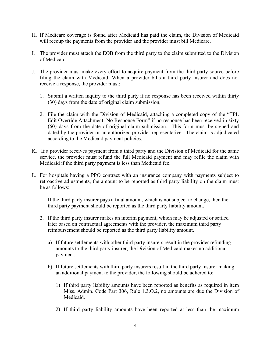- H. If Medicare coverage is found after Medicaid has paid the claim, the Division of Medicaid will recoup the payments from the provider and the provider must bill Medicare.
- I. The provider must attach the EOB from the third party to the claim submitted to the Division of Medicaid.
- J. The provider must make every effort to acquire payment from the third party source before filing the claim with Medicaid. When a provider bills a third party insurer and does not receive a response, the provider must:
	- 1. Submit a written inquiry to the third party if no response has been received within thirty (30) days from the date of original claim submission,
	- 2. File the claim with the Division of Medicaid, attaching a completed copy of the "TPL Edit Override Attachment: No Response Form" if no response has been received in sixty (60) days from the date of original claim submission. This form must be signed and dated by the provider or an authorized provider representative. The claim is adjudicated according to the Medicaid payment policies.
- K. If a provider receives payment from a third party and the Division of Medicaid for the same service, the provider must refund the full Medicaid payment and may refile the claim with Medicaid if the third party payment is less than Medicaid fee.
- L. For hospitals having a PPO contract with an insurance company with payments subject to retroactive adjustments, the amount to be reported as third party liability on the claim must be as follows:
	- 1. If the third party insurer pays a final amount, which is not subject to change, then the third party payment should be reported as the third party liability amount.
	- 2. If the third party insurer makes an interim payment, which may be adjusted or settled later based on contractual agreements with the provider, the maximum third party reimbursement should be reported as the third party liability amount.
		- a) If future settlements with other third party insurers result in the provider refunding amounts to the third party insurer, the Division of Medicaid makes no additional payment.
		- b) If future settlements with third party insurers result in the third party insurer making an additional payment to the provider, the following should be adhered to:
			- 1) If third party liability amounts have been reported as benefits as required in item Miss. Admin. Code Part 306, Rule 1.3.O.2, no amounts are due the Division of Medicaid.
			- 2) If third party liability amounts have been reported at less than the maximum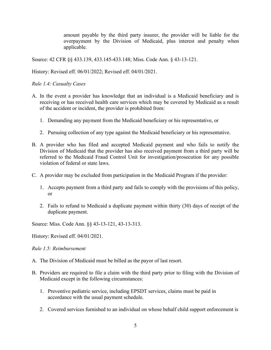amount payable by the third party insurer, the provider will be liable for the overpayment by the Division of Medicaid, plus interest and penalty when applicable.

Source: 42 CFR §§ 433.139, 433.145-433.148; Miss. Code Ann. § 43-13-121.

History: Revised eff. 06/01/2022; Revised eff. 04/01/2021.

*Rule 1.4: Casualty Cases*

- A. In the event a provider has knowledge that an individual is a Medicaid beneficiary and is receiving or has received health care services which may be covered by Medicaid as a result of the accident or incident, the provider is prohibited from:
	- 1. Demanding any payment from the Medicaid beneficiary or his representative, or
	- 2. Pursuing collection of any type against the Medicaid beneficiary or his representative.
- B. A provider who has filed and accepted Medicaid payment and who fails to notify the Division of Medicaid that the provider has also received payment from a third party will be referred to the Medicaid Fraud Control Unit for investigation/prosecution for any possible violation of federal or state laws.
- C. A provider may be excluded from participation in the Medicaid Program if the provider:
	- 1. Accepts payment from a third party and fails to comply with the provisions of this policy, or
	- 2. Fails to refund to Medicaid a duplicate payment within thirty (30) days of receipt of the duplicate payment.

Source: Miss. Code Ann. §§ 43-13-121, 43-13-313.

History: Revised eff. 04/01/2021.

<span id="page-6-0"></span>*Rule 1.5: Reimbursement*

- A. The Division of Medicaid must be billed as the payor of last resort.
- B. Providers are required to file a claim with the third party prior to filing with the Division of Medicaid except in the following circumstances:
	- 1. Preventive pediatric service, including EPSDT services, claims must be paid in accordance with the usual payment schedule.
	- 2. Covered services furnished to an individual on whose behalf child support enforcement is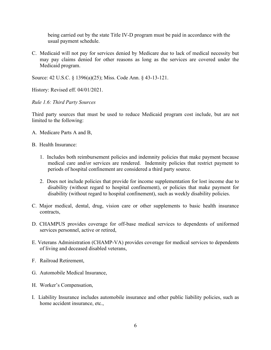being carried out by the state Title IV-D program must be paid in accordance with the usual payment schedule.

C. Medicaid will not pay for services denied by Medicare due to lack of medical necessity but may pay claims denied for other reasons as long as the services are covered under the Medicaid program.

Source: 42 U.S.C. § 1396(a)(25); Miss. Code Ann. § 43-13-121.

History: Revised eff. 04/01/2021.

<span id="page-7-0"></span>*Rule 1.6: Third Party Sources*

Third party sources that must be used to reduce Medicaid program cost include, but are not limited to the following:

- A. Medicare Parts A and B,
- B. Health Insurance:
	- 1. Includes both reimbursement policies and indemnity policies that make payment because medical care and/or services are rendered. Indemnity policies that restrict payment to periods of hospital confinement are considered a third party source.
	- 2. Does not include policies that provide for income supplementation for lost income due to disability (without regard to hospital confinement), or policies that make payment for disability (without regard to hospital confinement), such as weekly disability policies.
- C. Major medical, dental, drug, vision care or other supplements to basic health insurance contracts,
- D. CHAMPUS provides coverage for off-base medical services to dependents of uniformed services personnel, active or retired,
- E. Veterans Administration (CHAMP-VA) provides coverage for medical services to dependents of living and deceased disabled veterans,
- F. Railroad Retirement,
- G. Automobile Medical Insurance,
- H. Worker's Compensation,
- I. Liability Insurance includes automobile insurance and other public liability policies, such as home accident insurance, etc.,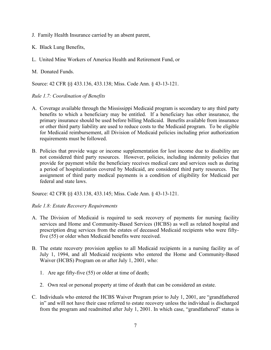- J. Family Health Insurance carried by an absent parent,
- K. Black Lung Benefits,
- L. United Mine Workers of America Health and Retirement Fund, or
- M. Donated Funds.

Source: 42 CFR §§ 433.136, 433.138; Miss. Code Ann. § 43-13-121.

#### <span id="page-8-0"></span>*Rule 1.7: Coordination of Benefits*

- A. Coverage available through the Mississippi Medicaid program is secondary to any third party benefits to which a beneficiary may be entitled. If a beneficiary has other insurance, the primary insurance should be used before billing Medicaid. Benefits available from insurance or other third party liability are used to reduce costs to the Medicaid program. To be eligible for Medicaid reimbursement, all Division of Medicaid policies including prior authorization requirements must be followed.
- B. Policies that provide wage or income supplementation for lost income due to disability are not considered third party resources. However, policies, including indemnity policies that provide for payment while the beneficiary receives medical care and services such as during a period of hospitalization covered by Medicaid, are considered third party resources. The assignment of third party medical payments is a condition of eligibility for Medicaid per federal and state laws.

Source: 42 CFR §§ 433.138, 433.145; Miss. Code Ann. § 43-13-121.

#### <span id="page-8-1"></span>*Rule 1.8: Estate Recovery Requirements*

- A. The Division of Medicaid is required to seek recovery of payments for nursing facility services and Home and Community-Based Services (HCBS) as well as related hospital and prescription drug services from the estates of deceased Medicaid recipients who were fiftyfive (55) or older when Medicaid benefits were received.
- B. The estate recovery provision applies to all Medicaid recipients in a nursing facility as of July 1, 1994, and all Medicaid recipients who entered the Home and Community-Based Waiver (HCBS) Program on or after July 1, 2001, who:
	- 1. Are age fifty-five (55) or older at time of death;
	- 2. Own real or personal property at time of death that can be considered an estate.
- C. Individuals who entered the HCBS Waiver Program prior to July 1, 2001, are "grandfathered in" and will not have their case referred to estate recovery unless the individual is discharged from the program and readmitted after July 1, 2001. In which case, "grandfathered" status is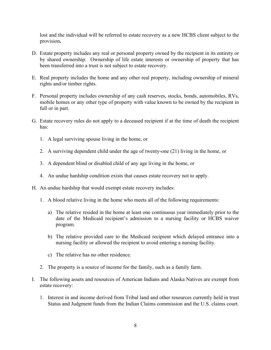lost and the individual will be referred to estate recovery as a new HCBS client subject to the provision**.** 

- D. Estate property includes any real or personal property owned by the recipient in its entirety or by shared ownership. Ownership of life estate interests or ownership of property that has been transferred into a trust is not subject to estate recovery.
- E. Real property includes the home and any other real property, including ownership of mineral rights and/or timber rights.
- F. Personal property includes ownership of any cash reserves, stocks, bonds, automobiles, RVs, mobile homes or any other type of property with value known to be owned by the recipient in full or in part.
- G. Estate recovery rules do not apply to a deceased recipient if at the time of death the recipient has:
	- 1. A legal surviving spouse living in the home, or
	- 2. A surviving dependent child under the age of twenty-one (21) living in the home, or
	- 3. A dependent blind or disabled child of any age living in the home, or
	- 4. An undue hardship condition exists that causes estate recovery not to apply.
- H. An undue hardship that would exempt estate recovery includes:
	- 1. A blood relative living in the home who meets all of the following requirements:
		- a) The relative resided in the home at least one continuous year immediately prior to the date of the Medicaid recipient's admission to a nursing facility or HCBS waiver program.
		- b) The relative provided care to the Medicaid recipient which delayed entrance into a nursing facility or allowed the recipient to avoid entering a nursing facility.
		- c) The relative has no other residence.
	- 2. The property is a source of income for the family, such as a family farm.
- I. The following assets and resources of American Indians and Alaska Natives are exempt from estate recovery:
	- 1. Interest in and income derived from Tribal land and other resources currently held in trust Status and Judgment funds from the Indian Claims commission and the U.S. claims court.